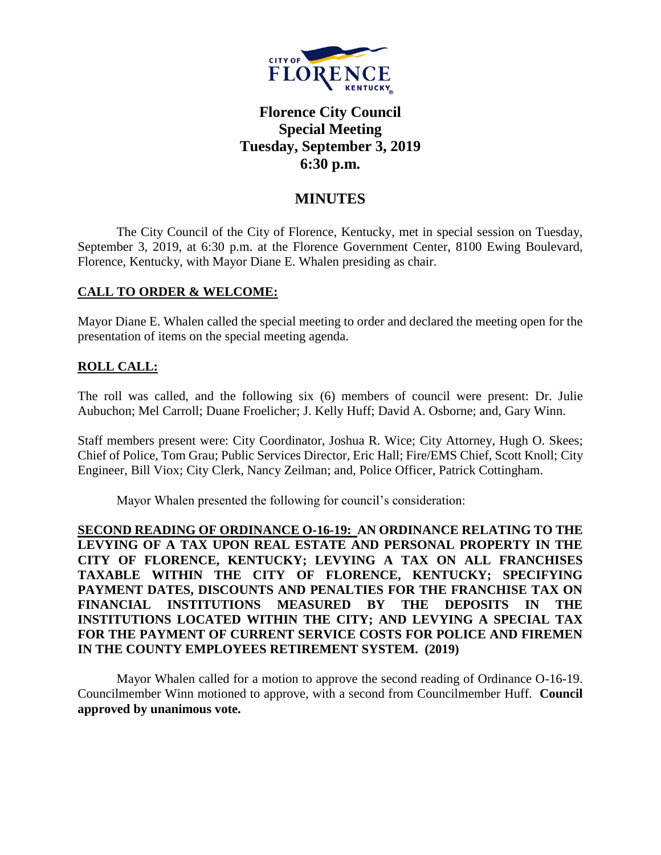

# **Florence City Council Special Meeting Tuesday, September 3, 2019 6:30 p.m.**

# **MINUTES**

The City Council of the City of Florence, Kentucky, met in special session on Tuesday, September 3, 2019, at 6:30 p.m. at the Florence Government Center, 8100 Ewing Boulevard, Florence, Kentucky, with Mayor Diane E. Whalen presiding as chair.

### **CALL TO ORDER & WELCOME:**

Mayor Diane E. Whalen called the special meeting to order and declared the meeting open for the presentation of items on the special meeting agenda.

## **ROLL CALL:**

The roll was called, and the following six (6) members of council were present: Dr. Julie Aubuchon; Mel Carroll; Duane Froelicher; J. Kelly Huff; David A. Osborne; and, Gary Winn.

Staff members present were: City Coordinator, Joshua R. Wice; City Attorney, Hugh O. Skees; Chief of Police, Tom Grau; Public Services Director, Eric Hall; Fire/EMS Chief, Scott Knoll; City Engineer, Bill Viox; City Clerk, Nancy Zeilman; and, Police Officer, Patrick Cottingham.

Mayor Whalen presented the following for council's consideration:

**SECOND READING OF ORDINANCE O-16-19: AN ORDINANCE RELATING TO THE LEVYING OF A TAX UPON REAL ESTATE AND PERSONAL PROPERTY IN THE CITY OF FLORENCE, KENTUCKY; LEVYING A TAX ON ALL FRANCHISES TAXABLE WITHIN THE CITY OF FLORENCE, KENTUCKY; SPECIFYING PAYMENT DATES, DISCOUNTS AND PENALTIES FOR THE FRANCHISE TAX ON FINANCIAL INSTITUTIONS MEASURED BY THE DEPOSITS IN THE INSTITUTIONS LOCATED WITHIN THE CITY; AND LEVYING A SPECIAL TAX FOR THE PAYMENT OF CURRENT SERVICE COSTS FOR POLICE AND FIREMEN IN THE COUNTY EMPLOYEES RETIREMENT SYSTEM. (2019)**

Mayor Whalen called for a motion to approve the second reading of Ordinance O-16-19. Councilmember Winn motioned to approve, with a second from Councilmember Huff. **Council approved by unanimous vote.**